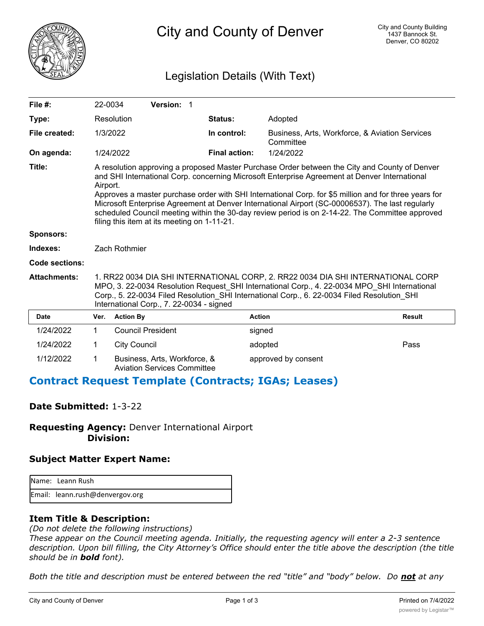

City and County of Denver

## Legislation Details (With Text)

| File $#$ :          | 22-0034  |                                                                                                                                                                                                                                                                                                                                                                                                                                                                                                                                                                           | Version: 1                                                         |  |                      |                                                             |               |
|---------------------|----------|---------------------------------------------------------------------------------------------------------------------------------------------------------------------------------------------------------------------------------------------------------------------------------------------------------------------------------------------------------------------------------------------------------------------------------------------------------------------------------------------------------------------------------------------------------------------------|--------------------------------------------------------------------|--|----------------------|-------------------------------------------------------------|---------------|
| Type:               |          | Resolution                                                                                                                                                                                                                                                                                                                                                                                                                                                                                                                                                                |                                                                    |  | <b>Status:</b>       | Adopted                                                     |               |
| File created:       | 1/3/2022 |                                                                                                                                                                                                                                                                                                                                                                                                                                                                                                                                                                           |                                                                    |  | In control:          | Business, Arts, Workforce, & Aviation Services<br>Committee |               |
| On agenda:          |          | 1/24/2022                                                                                                                                                                                                                                                                                                                                                                                                                                                                                                                                                                 |                                                                    |  | <b>Final action:</b> | 1/24/2022                                                   |               |
| Title:              |          | A resolution approving a proposed Master Purchase Order between the City and County of Denver<br>and SHI International Corp. concerning Microsoft Enterprise Agreement at Denver International<br>Airport.<br>Approves a master purchase order with SHI International Corp. for \$5 million and for three years for<br>Microsoft Enterprise Agreement at Denver International Airport (SC-00006537). The last regularly<br>scheduled Council meeting within the 30-day review period is on 2-14-22. The Committee approved<br>filing this item at its meeting on 1-11-21. |                                                                    |  |                      |                                                             |               |
| <b>Sponsors:</b>    |          |                                                                                                                                                                                                                                                                                                                                                                                                                                                                                                                                                                           |                                                                    |  |                      |                                                             |               |
| Indexes:            |          | Zach Rothmier                                                                                                                                                                                                                                                                                                                                                                                                                                                                                                                                                             |                                                                    |  |                      |                                                             |               |
| Code sections:      |          |                                                                                                                                                                                                                                                                                                                                                                                                                                                                                                                                                                           |                                                                    |  |                      |                                                             |               |
| <b>Attachments:</b> |          | 1. RR22 0034 DIA SHI INTERNATIONAL CORP, 2. RR22 0034 DIA SHI INTERNATIONAL CORP<br>MPO, 3. 22-0034 Resolution Request SHI International Corp., 4. 22-0034 MPO SHI International<br>Corp., 5. 22-0034 Filed Resolution_SHI International Corp., 6. 22-0034 Filed Resolution_SHI<br>International Corp., 7. 22-0034 - signed                                                                                                                                                                                                                                               |                                                                    |  |                      |                                                             |               |
| <b>Date</b>         | Ver.     | <b>Action By</b>                                                                                                                                                                                                                                                                                                                                                                                                                                                                                                                                                          |                                                                    |  |                      | <b>Action</b>                                               | <b>Result</b> |
| 1/24/2022           | 1        | <b>Council President</b>                                                                                                                                                                                                                                                                                                                                                                                                                                                                                                                                                  |                                                                    |  |                      | signed                                                      |               |
| 1/24/2022           | 1        | <b>City Council</b>                                                                                                                                                                                                                                                                                                                                                                                                                                                                                                                                                       |                                                                    |  |                      | adopted                                                     | Pass          |
| 1/12/2022           | 1        |                                                                                                                                                                                                                                                                                                                                                                                                                                                                                                                                                                           | Business, Arts, Workforce, &<br><b>Aviation Services Committee</b> |  |                      | approved by consent                                         |               |

# **Contract Request Template (Contracts; IGAs; Leases)**

#### **Date Submitted:** 1-3-22

**Requesting Agency:** Denver International Airport  **Division:**

## **Subject Matter Expert Name:**

| <b>I</b> Name: Leann Rush       |
|---------------------------------|
| Email: leann.rush@denvergov.org |

#### **Item Title & Description:**

*(Do not delete the following instructions)*

*These appear on the Council meeting agenda. Initially, the requesting agency will enter a 2-3 sentence description. Upon bill filling, the City Attorney's Office should enter the title above the description (the title should be in bold font).*

*Both the title and description must be entered between the red "title" and "body" below. Do not at any*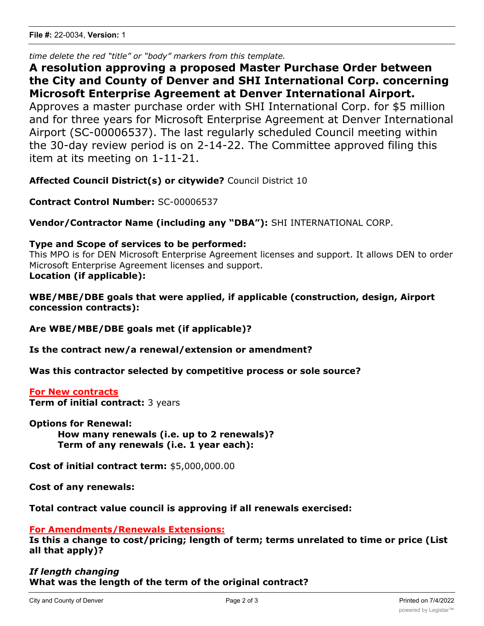*time delete the red "title" or "body" markers from this template.*

**A resolution approving a proposed Master Purchase Order between the City and County of Denver and SHI International Corp. concerning Microsoft Enterprise Agreement at Denver International Airport.**

Approves a master purchase order with SHI International Corp. for \$5 million and for three years for Microsoft Enterprise Agreement at Denver International Airport (SC-00006537). The last regularly scheduled Council meeting within the 30-day review period is on 2-14-22. The Committee approved filing this item at its meeting on 1-11-21.

**Affected Council District(s) or citywide?** Council District 10

**Contract Control Number:** SC-00006537

**Vendor/Contractor Name (including any "DBA"):** SHI INTERNATIONAL CORP.

## **Type and Scope of services to be performed:**

This MPO is for DEN Microsoft Enterprise Agreement licenses and support. It allows DEN to order Microsoft Enterprise Agreement licenses and support. **Location (if applicable):**

**WBE/MBE/DBE goals that were applied, if applicable (construction, design, Airport concession contracts):**

**Are WBE/MBE/DBE goals met (if applicable)?**

**Is the contract new/a renewal/extension or amendment?**

**Was this contractor selected by competitive process or sole source?**

**For New contracts Term of initial contract:** 3 years

**Options for Renewal:**

**How many renewals (i.e. up to 2 renewals)? Term of any renewals (i.e. 1 year each):**

**Cost of initial contract term:** \$5,000,000.00

**Cost of any renewals:**

**Total contract value council is approving if all renewals exercised:**

#### **For Amendments/Renewals Extensions:**

**Is this a change to cost/pricing; length of term; terms unrelated to time or price (List all that apply)?**

*If length changing* **What was the length of the term of the original contract?**